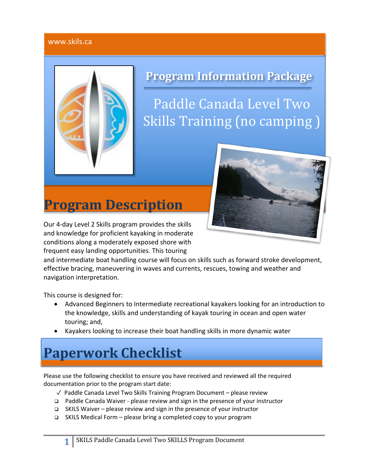## www.skils.ca



# **Program Information Package**

Paddle Canada Level Two Skills Training (no camping)

# **Program Description**

Our 4-day Level 2 Skills program provides the skills and knowledge for proficient kayaking in moderate conditions along a moderately exposed shore with frequent easy landing opportunities. This touring

and intermediate boat handling course will focus on skills such as forward stroke development, effective bracing, maneuvering in waves and currents, rescues, towing and weather and navigation interpretation.

This course is designed for:

- Advanced Beginners to Intermediate recreational kayakers looking for an introduction to the knowledge, skills and understanding of kayak touring in ocean and open water touring; and,
- Kayakers looking to increase their boat handling skills in more dynamic water

# **Paperwork Checklist**

Please use the following checklist to ensure you have received and reviewed all the required documentation prior to the program start date:

- ✓ Paddle Canada Level Two Skills Training Program Document please review
- q Paddle Canada Waiver please review and sign in the presence of your instructor
- q SKILS Waiver please review and sign in the presence of your instructor
- q SKILS Medical Form please bring a completed copy to your program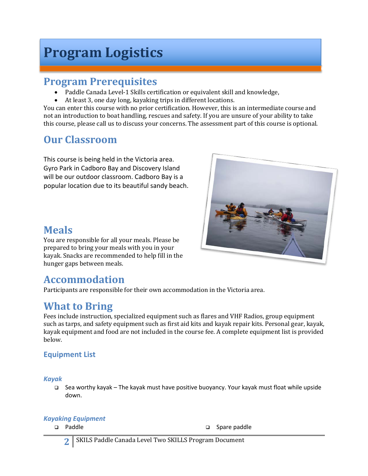# **Program Logistics**

## **Program Prerequisites**

- Paddle Canada Level-1 Skills certification or equivalent skill and knowledge,
- At least 3, one day long, kayaking trips in different locations.

You can enter this course with no prior certification. However, this is an intermediate course and not an introduction to boat handling, rescues and safety. If you are unsure of your ability to take this course, please call us to discuss your concerns. The assessment part of this course is optional.

# **Our Classroom**

This course is being held in the Victoria area. Gyro Park in Cadboro Bay and Discovery Island will be our outdoor classroom. Cadboro Bay is a popular location due to its beautiful sandy beach.



You are responsible for all your meals. Please be prepared to bring your meals with you in your kayak. Snacks are recommended to help fill in the hunger gaps between meals.

## **Accommodation**

Participants are responsible for their own accommodation in the Victoria area.

## **What to Bring**

Fees include instruction, specialized equipment such as flares and VHF Radios, group equipment such as tarps, and safety equipment such as first aid kits and kayak repair kits. Personal gear, kayak, kayak equipment and food are not included in the course fee. A complete equipment list is provided below.

## **Equipment List**

*Kayak*

q Sea worthy kayak – The kayak must have positive buoyancy. Your kayak must float while upside down.

### *Kayaking Equipment*

**q** Paddle **q** Spare paddle

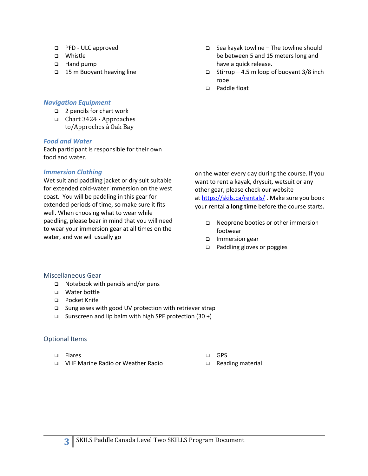- q PFD ULC approved
- q Whistle
- q Hand pump
- q 15 m Buoyant heaving line

### *Navigation Equipment*

- q 2 pencils for chart work
- q Chart 3424 - Approaches to/Approches à Oak Bay

#### *Food and Water*

Each participant is responsible for their own food and water.

### *Immersion Clothing*

Wet suit and paddling jacket or dry suit suitable for extended cold-water immersion on the west coast. You will be paddling in this gear for extended periods of time, so make sure it fits well. When choosing what to wear while paddling, please bear in mind that you will need to wear your immersion gear at all times on the water, and we will usually go

- $\Box$  Sea kayak towline The towline should be between 5 and 15 meters long and have a quick release.
- $\Box$  Stirrup 4.5 m loop of buoyant 3/8 inch rope
- q Paddle float

on the water every day during the course. If you want to rent a kayak, drysuit, wetsuit or any other gear, please check our website at https://skils.ca/rentals/. Make sure you book your rental **a long time** before the course starts.

- □ Neoprene booties or other immersion footwear
- □ Immersion gear
- □ Paddling gloves or poggies

### Miscellaneous Gear

- q Notebook with pencils and/or pens
- q Water bottle
- q Pocket Knife
- q Sunglasses with good UV protection with retriever strap
- q Sunscreen and lip balm with high SPF protection (30 +)

### Optional Items

- q Flares
- q VHF Marine Radio or Weather Radio
- q GPS
- q Reading material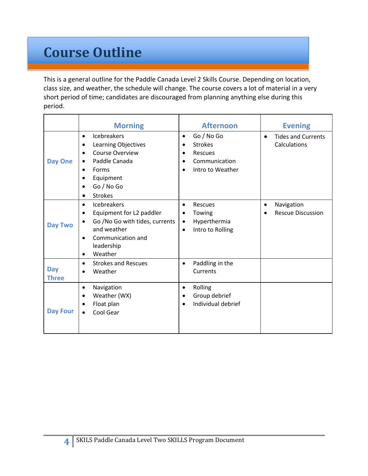# **Course Outline**

This is a general outline for the Paddle Canada Level 2 Skills Course. Depending on location, class size, and weather, the schedule will change. The course covers a lot of material in a very short period of time; candidates are discouraged from planning anything else during this period.

|                            | <b>Morning</b>                                                                                                                                                                                                                      | <b>Afternoon</b>                                                                                                                      | <b>Evening</b>                                         |
|----------------------------|-------------------------------------------------------------------------------------------------------------------------------------------------------------------------------------------------------------------------------------|---------------------------------------------------------------------------------------------------------------------------------------|--------------------------------------------------------|
| <b>Day One</b>             | Icebreakers<br>$\bullet$<br>Learning Objectives<br>$\bullet$<br><b>Course Overview</b><br>$\bullet$<br>Paddle Canada<br>$\bullet$<br>Forms<br>$\bullet$<br>Equipment<br>$\bullet$<br>Go / No Go<br>٠<br><b>Strokes</b><br>$\bullet$ | Go / No Go<br>$\bullet$<br><b>Strokes</b><br>$\bullet$<br>Rescues<br>٠<br>Communication<br>$\bullet$<br>Intro to Weather<br>$\bullet$ | <b>Tides and Currents</b><br>$\bullet$<br>Calculations |
| <b>Day Two</b>             | Icebreakers<br>$\bullet$<br>Equipment for L2 paddler<br>$\bullet$<br>Go /No Go with tides, currents<br>$\bullet$<br>and weather<br>Communication and<br>$\bullet$<br>leadership<br>Weather<br>$\bullet$                             | Rescues<br>$\bullet$<br>Towing<br>$\bullet$<br>Hyperthermia<br>$\bullet$<br>Intro to Rolling<br>$\bullet$                             | Navigation<br>$\bullet$<br><b>Rescue Discussion</b>    |
| <b>Day</b><br><b>Three</b> | <b>Strokes and Rescues</b><br>$\bullet$<br>Weather<br>$\bullet$                                                                                                                                                                     | Paddling in the<br>$\bullet$<br>Currents                                                                                              |                                                        |
| <b>Day Four</b>            | Navigation<br>$\bullet$<br>Weather (WX)<br>$\bullet$<br>Float plan<br>$\bullet$<br>Cool Gear<br>$\bullet$                                                                                                                           | Rolling<br>$\bullet$<br>Group debrief<br>$\bullet$<br>Individual debrief<br>$\bullet$                                                 |                                                        |